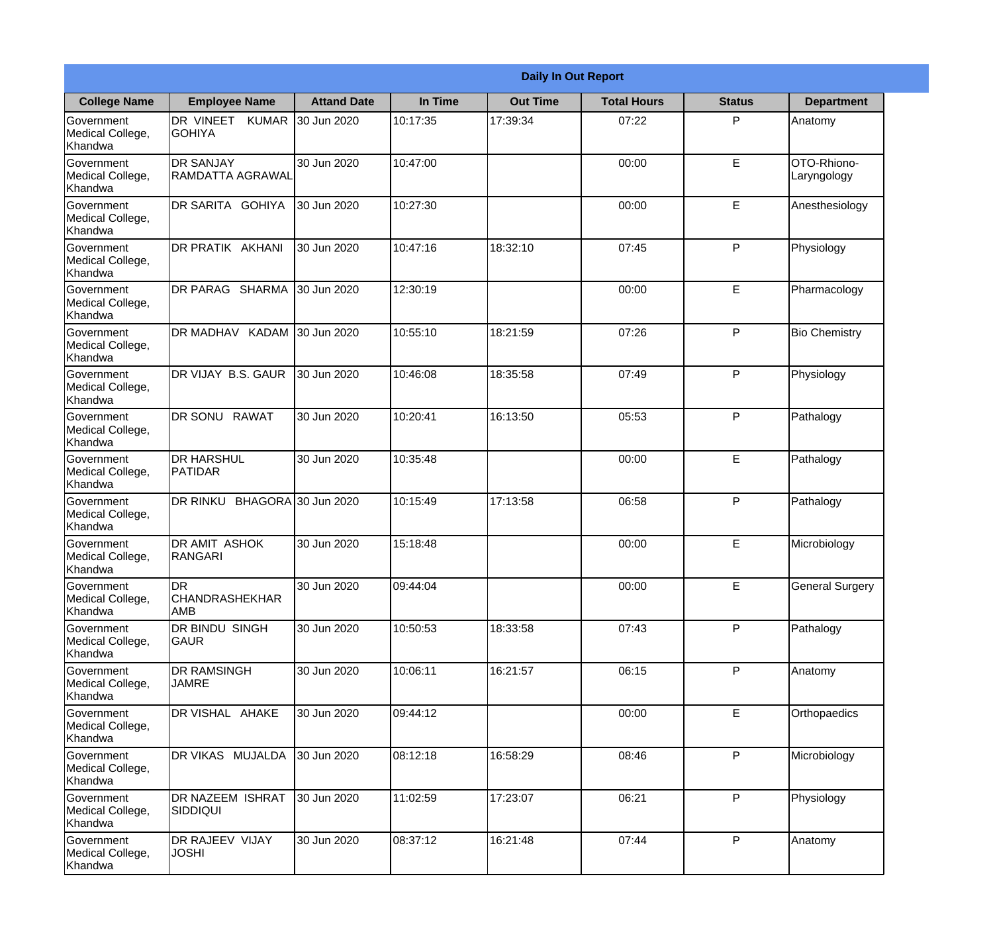|                                                  |                                                  |                     |          | <b>Daily In Out Report</b> |                    |               |                            |
|--------------------------------------------------|--------------------------------------------------|---------------------|----------|----------------------------|--------------------|---------------|----------------------------|
| <b>College Name</b>                              | <b>Employee Name</b>                             | <b>Attand Date</b>  | In Time  | <b>Out Time</b>            | <b>Total Hours</b> | <b>Status</b> | <b>Department</b>          |
| Government<br>Medical College,<br>Khandwa        | DR VINEET KUMAR<br><b>GOHIYA</b>                 | 30 Jun 2020         | 10:17:35 | 17:39:34                   | 07:22              | P             | Anatomy                    |
| Government<br>Medical College,<br>Khandwa        | <b>DR SANJAY</b><br><b>RAMDATTA AGRAWAL</b>      | 30 Jun 2020         | 10:47:00 |                            | 00:00              | E             | OTO-Rhiono-<br>Laryngology |
| <b>Government</b><br>Medical College,<br>Khandwa | DR SARITA GOHIYA                                 | 30 Jun 2020         | 10:27:30 |                            | 00:00              | E             | Anesthesiology             |
| Government<br>Medical College,<br>Khandwa        | DR PRATIK AKHANI                                 | 30 Jun 2020         | 10:47:16 | 18:32:10                   | 07:45              | P             | Physiology                 |
| <b>Government</b><br>Medical College,<br>Khandwa | DR PARAG SHARMA                                  | 30 Jun 2020         | 12:30:19 |                            | 00:00              | E             | Pharmacology               |
| Government<br>Medical College,<br>Khandwa        | DR MADHAV KADAM                                  | 30 Jun 2020         | 10:55:10 | 18:21:59                   | 07:26              | P             | <b>Bio Chemistry</b>       |
| <b>Government</b><br>Medical College,<br>Khandwa | DR VIJAY B.S. GAUR                               | 30 Jun 2020         | 10:46:08 | 18:35:58                   | 07:49              | P             | Physiology                 |
| Government<br>Medical College,<br>Khandwa        | DR SONU RAWAT                                    | 30 Jun 2020         | 10:20:41 | 16:13:50                   | 05:53              | P             | Pathalogy                  |
| Government<br>Medical College,<br>Khandwa        | <b>I</b> DR HARSHUL<br><b>PATIDAR</b>            | 30 Jun 2020         | 10:35:48 |                            | 00:00              | E             | Pathalogy                  |
| Government<br>Medical College,<br>Khandwa        | <b>DR RINKU</b>                                  | BHAGORA 30 Jun 2020 | 10:15:49 | 17:13:58                   | 06:58              | P             | Pathalogy                  |
| Government<br>Medical College,<br>Khandwa        | DR AMIT ASHOK<br>RANGARI                         | 30 Jun 2020         | 15:18:48 |                            | 00:00              | E             | Microbiology               |
| Government<br>Medical College,<br>Khandwa        | <b>DR</b><br><b>CHANDRASHEKHAR</b><br><b>AMB</b> | 30 Jun 2020         | 09:44:04 |                            | 00:00              | E             | <b>General Surgery</b>     |
| Government<br>Medical College,<br>Khandwa        | DR BINDU SINGH<br><b>GAUR</b>                    | 30 Jun 2020         | 10:50:53 | 18:33:58                   | 07:43              | P             | Pathalogy                  |
| Government<br>Medical College,<br>Khandwa        | DR RAMSINGH<br><b>JAMRE</b>                      | 30 Jun 2020         | 10:06:11 | 16:21:57                   | 06:15              | P             | Anatomy                    |
| Government<br>Medical College,<br>Khandwa        | DR VISHAL AHAKE                                  | 30 Jun 2020         | 09:44:12 |                            | 00:00              | E             | Orthopaedics               |
| Government<br>Medical College,<br>Khandwa        | DR VIKAS MUJALDA                                 | 30 Jun 2020         | 08:12:18 | 16:58:29                   | 08:46              | P             | Microbiology               |
| Government<br>Medical College,<br>Khandwa        | <b>DR NAZEEM ISHRAT</b><br><b>SIDDIQUI</b>       | 30 Jun 2020         | 11:02:59 | 17:23:07                   | 06:21              | P             | Physiology                 |
| Government<br>Medical College,<br>Khandwa        | DR RAJEEV VIJAY<br><b>JOSHI</b>                  | 30 Jun 2020         | 08:37:12 | 16:21:48                   | 07:44              | P             | Anatomy                    |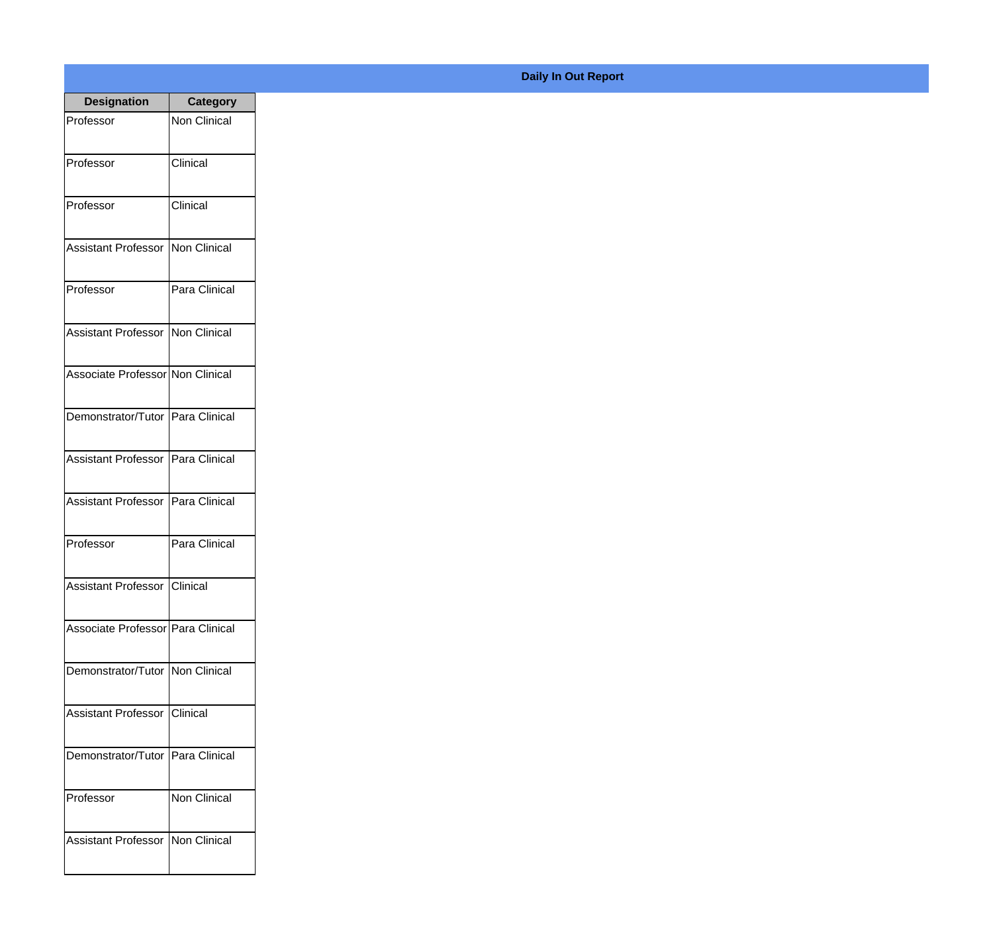| <b>Designation</b>                  | <b>Category</b>     |
|-------------------------------------|---------------------|
| Professor                           | <b>Non Clinical</b> |
| Professor                           | Clinical            |
| Professor                           | Clinical            |
| <b>Assistant Professor</b>          | <b>Non Clinical</b> |
| Professor                           | Para Clinical       |
| <b>Assistant Professor</b>          | Non Clinical        |
| Associate Professor Non Clinical    |                     |
| Demonstrator/Tutor                  | Para Clinical       |
| <b>Assistant Professor</b>          | Para Clinical       |
| <b>Assistant Professor</b>          | Para Clinical       |
| Professor                           | Para Clinical       |
| Assistant Professor   Clinical      |                     |
| Associate Professor   Para Clinical |                     |
| Demonstrator/Tutor   Non Clinical   |                     |
| <b>Assistant Professor</b>          | Clinical            |
| Demonstrator/Tutor   Para Clinical  |                     |
| Professor                           | <b>Non Clinical</b> |
| Assistant Professor                 | Non Clinical        |

## **Daily In Out Report**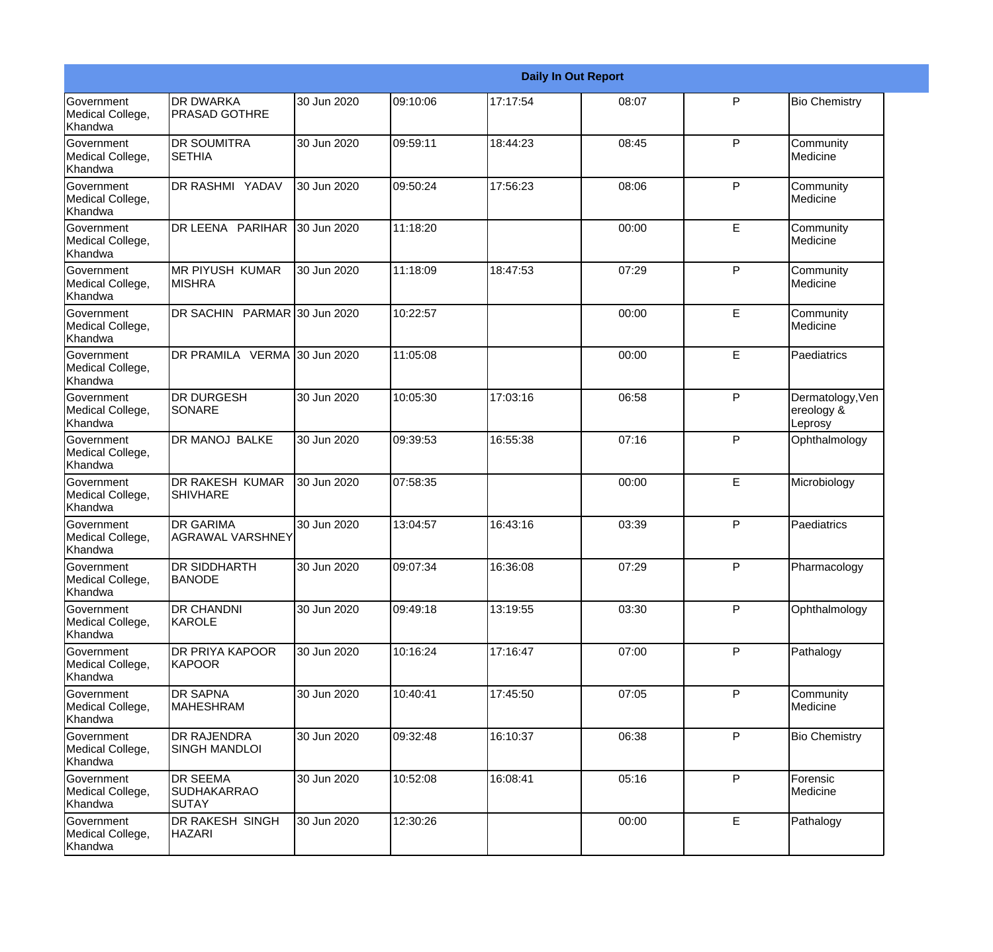|                                                  |                                          |             |          |          | <b>Daily In Out Report</b> |              |                                           |
|--------------------------------------------------|------------------------------------------|-------------|----------|----------|----------------------------|--------------|-------------------------------------------|
| Government<br>Medical College,<br>Khandwa        | <b>DR DWARKA</b><br><b>PRASAD GOTHRE</b> | 30 Jun 2020 | 09:10:06 | 17:17:54 | 08:07                      | P            | <b>Bio Chemistry</b>                      |
| <b>Government</b><br>Medical College,<br>Khandwa | DR SOUMITRA<br>ISETHIA                   | 30 Jun 2020 | 09:59:11 | 18:44:23 | 08:45                      | $\mathsf{P}$ | Community<br>Medicine                     |
| <b>Government</b><br>Medical College,<br>Khandwa | DR RASHMI YADAV                          | 30 Jun 2020 | 09:50:24 | 17:56:23 | 08:06                      | P            | Community<br>Medicine                     |
| <b>Government</b><br>Medical College,<br>Khandwa | DR LEENA PARIHAR                         | 30 Jun 2020 | 11:18:20 |          | 00:00                      | E            | Community<br>Medicine                     |
| Government<br>Medical College,<br>Khandwa        | MR PIYUSH KUMAR<br><b>MISHRA</b>         | 30 Jun 2020 | 11:18:09 | 18:47:53 | 07:29                      | $\mathsf{P}$ | Community<br>Medicine                     |
| Government<br>Medical College,<br>Khandwa        | DR SACHIN PARMAR 30 Jun 2020             |             | 10:22:57 |          | 00:00                      | E            | Community<br>Medicine                     |
| Government<br>Medical College,<br>Khandwa        | DR PRAMILA VERMA 30 Jun 2020             |             | 11:05:08 |          | 00:00                      | E            | Paediatrics                               |
| Government<br>Medical College,<br>Khandwa        | <b>DR DURGESH</b><br>SONARE              | 30 Jun 2020 | 10:05:30 | 17:03:16 | 06:58                      | $\mathsf{P}$ | Dermatology, Ven<br>ereology &<br>Leprosy |
| Government<br>Medical College,<br>Khandwa        | DR MANOJ BALKE                           | 30 Jun 2020 | 09:39:53 | 16:55:38 | 07:16                      | $\mathsf{P}$ | Ophthalmology                             |
| <b>Government</b><br>Medical College,<br>Khandwa | DR RAKESH KUMAR<br><b>SHIVHARE</b>       | 30 Jun 2020 | 07:58:35 |          | 00:00                      | E            | Microbiology                              |
| <b>Government</b><br>Medical College,<br>Khandwa | <b>DR GARIMA</b><br>IAGRAWAL VARSHNEY    | 30 Jun 2020 | 13:04:57 | 16:43:16 | 03:39                      | P            | Paediatrics                               |
| Government<br>Medical College,<br>Khandwa        | <b>DR SIDDHARTH</b><br><b>BANODE</b>     | 30 Jun 2020 | 09:07:34 | 16:36:08 | 07:29                      | P            | Pharmacology                              |
| Government<br>Medical College,<br>Khandwa        | DR CHANDNI<br>KAROLE                     | 30 Jun 2020 | 09:49:18 | 13:19:55 | 03:30                      | P            | Ophthalmology                             |
| Government<br>Medical College,<br>Khandwa        | DR PRIYA KAPOOR<br>KAPOOR                | 30 Jun 2020 | 10:16:24 | 17:16:47 | 07:00                      | P            | Pathalogy                                 |
| Government<br>Medical College,<br>Khandwa        | <b>DR SAPNA</b><br><b>MAHESHRAM</b>      | 30 Jun 2020 | 10:40:41 | 17:45:50 | 07:05                      | P            | Community<br>Medicine                     |
| Government<br>Medical College,<br>Khandwa        | <b>DR RAJENDRA</b><br>SINGH MANDLOI      | 30 Jun 2020 | 09:32:48 | 16:10:37 | 06:38                      | P            | <b>Bio Chemistry</b>                      |
| Government<br>Medical College,<br>Khandwa        | DR SEEMA<br><b>SUDHAKARRAO</b><br>SUTAY  | 30 Jun 2020 | 10:52:08 | 16:08:41 | 05:16                      | P            | Forensic<br>Medicine                      |
| Government<br>Medical College,<br>Khandwa        | DR RAKESH SINGH<br><b>HAZARI</b>         | 30 Jun 2020 | 12:30:26 |          | 00:00                      | E            | Pathalogy                                 |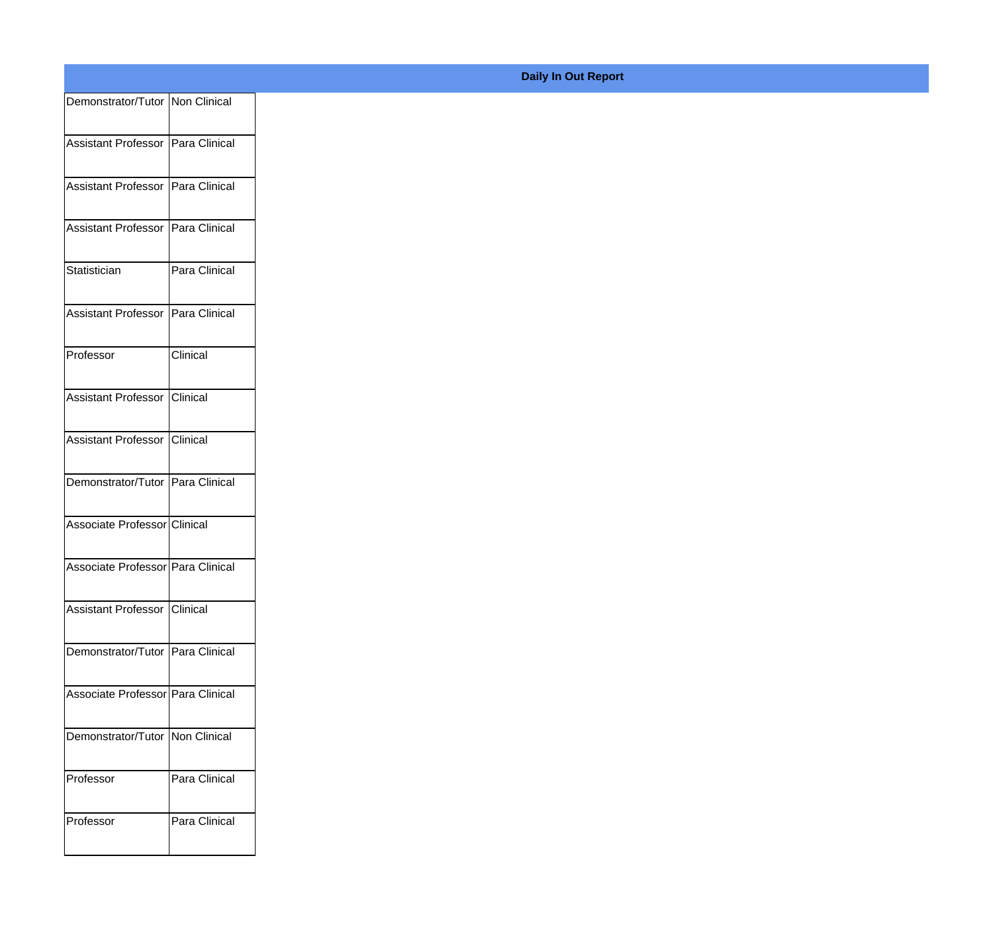| Demonstrator/Tutor Non Clinical     |               |
|-------------------------------------|---------------|
|                                     |               |
| Assistant Professor Para Clinical   |               |
| Assistant Professor   Para Clinical |               |
|                                     |               |
| Assistant Professor Para Clinical   |               |
| Statistician                        | Para Clinical |
|                                     |               |
| Assistant Professor Para Clinical   |               |
| Professor                           | Clinical      |
|                                     |               |
| Assistant Professor Clinical        |               |
|                                     |               |
| Assistant Professor Clinical        |               |
| Demonstrator/Tutor Para Clinical    |               |
|                                     |               |
| Associate Professor Clinical        |               |
| Associate Professor Para Clinical   |               |
|                                     |               |
| Assistant Professor Clinical        |               |
| Demonstrator/Tutor Para Clinical    |               |
|                                     |               |
| Associate Professor Para Clinical   |               |
| Demonstrator/Tutor Non Clinical     |               |
|                                     |               |
| Professor                           | Para Clinical |
|                                     |               |
| Professor                           | Para Clinical |
|                                     |               |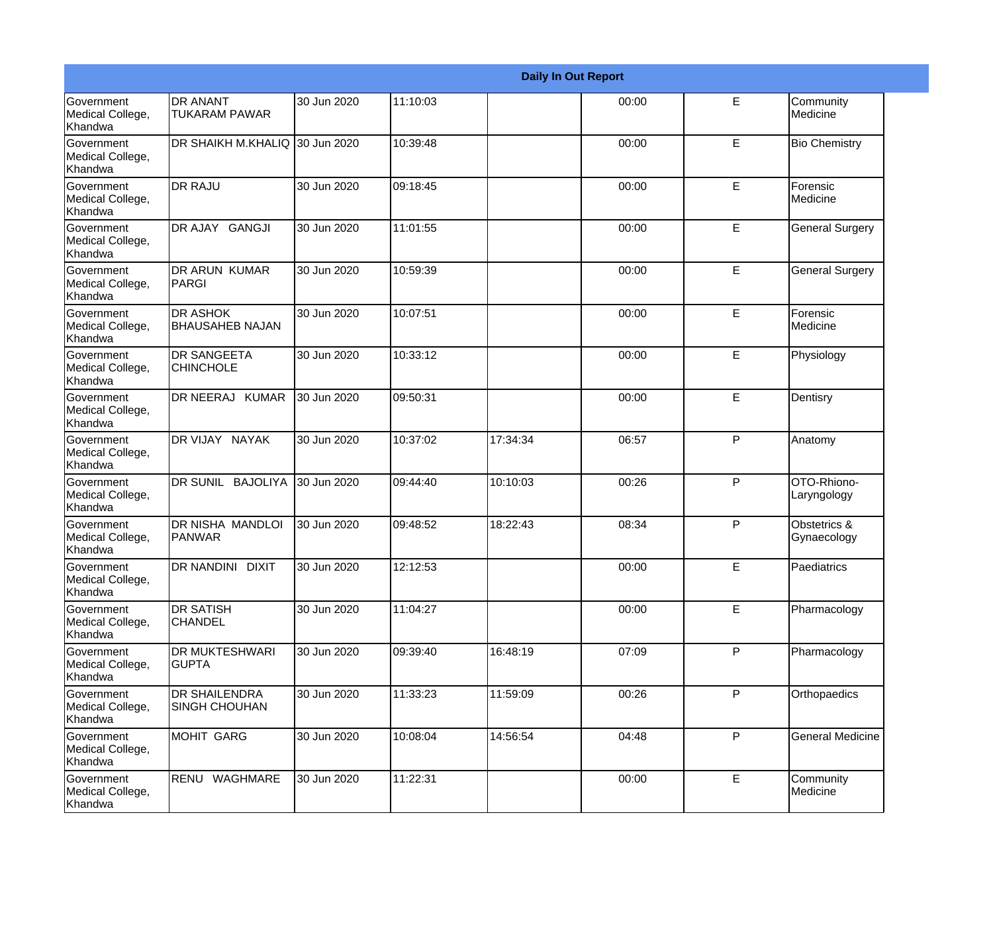|                                                  |                                              |             |          |          | <b>Daily In Out Report</b> |   |                             |
|--------------------------------------------------|----------------------------------------------|-------------|----------|----------|----------------------------|---|-----------------------------|
| Government<br>Medical College,<br>Khandwa        | <b>DR ANANT</b><br><b>TUKARAM PAWAR</b>      | 30 Jun 2020 | 11:10:03 |          | 00:00                      | E | Community<br>Medicine       |
| Government<br>Medical College,<br>Khandwa        | <b>DR SHAIKH M.KHALIQ</b>                    | 30 Jun 2020 | 10:39:48 |          | 00:00                      | E | <b>Bio Chemistry</b>        |
| Government<br>Medical College,<br>Khandwa        | <b>DR RAJU</b>                               | 30 Jun 2020 | 09:18:45 |          | 00:00                      | E | Forensic<br>Medicine        |
| Government<br>Medical College,<br>Khandwa        | DR AJAY GANGJI                               | 30 Jun 2020 | 11:01:55 |          | 00:00                      | E | <b>General Surgery</b>      |
| Government<br>Medical College,<br>Khandwa        | <b>DR ARUN KUMAR</b><br>PARGI                | 30 Jun 2020 | 10:59:39 |          | 00:00                      | E | <b>General Surgery</b>      |
| Government<br>Medical College,<br>Khandwa        | <b>I</b> DR ASHOK<br><b>BHAUSAHEB NAJAN</b>  | 30 Jun 2020 | 10:07:51 |          | 00:00                      | E | Forensic<br>Medicine        |
| Government<br>Medical College,<br>Khandwa        | <b>DR SANGEETA</b><br><b>CHINCHOLE</b>       | 30 Jun 2020 | 10:33:12 |          | 00:00                      | E | Physiology                  |
| Government<br>Medical College,<br>Khandwa        | DR NEERAJ KUMAR                              | 30 Jun 2020 | 09:50:31 |          | 00:00                      | E | Dentisry                    |
| Government<br>Medical College,<br>Khandwa        | DR VIJAY NAYAK                               | 30 Jun 2020 | 10:37:02 | 17:34:34 | 06:57                      | P | Anatomy                     |
| <b>Government</b><br>Medical College,<br>Khandwa | DR SUNIL BAJOLIYA                            | 30 Jun 2020 | 09:44:40 | 10:10:03 | 00:26                      | P | OTO-Rhiono-<br>Laryngology  |
| Government<br>Medical College,<br>Khandwa        | DR NISHA MANDLOI<br><b>PANWAR</b>            | 30 Jun 2020 | 09:48:52 | 18:22:43 | 08:34                      | P | Obstetrics &<br>Gynaecology |
| Government<br>Medical College,<br>Khandwa        | DR NANDINI DIXIT                             | 30 Jun 2020 | 12:12:53 |          | 00:00                      | E | Paediatrics                 |
| Government<br>Medical College,<br>Khandwa        | <b>DR SATISH</b><br><b>CHANDEL</b>           | 30 Jun 2020 | 11:04:27 |          | 00:00                      | E | Pharmacology                |
| Government<br>Medical College,<br>Khandwa        | <b>DR MUKTESHWARI</b><br><b>GUPTA</b>        | 30 Jun 2020 | 09:39:40 | 16:48:19 | 07:09                      | P | Pharmacology                |
| Government<br>Medical College,<br>Khandwa        | <b>DR SHAILENDRA</b><br><b>SINGH CHOUHAN</b> | 30 Jun 2020 | 11:33:23 | 11:59:09 | 00:26                      | P | Orthopaedics                |
| Government<br>Medical College,<br>Khandwa        | MOHIT GARG                                   | 30 Jun 2020 | 10:08:04 | 14:56:54 | 04:48                      | P | <b>General Medicine</b>     |
| Government<br>Medical College,<br>Khandwa        | RENU WAGHMARE                                | 30 Jun 2020 | 11:22:31 |          | 00:00                      | E | Community<br>Medicine       |